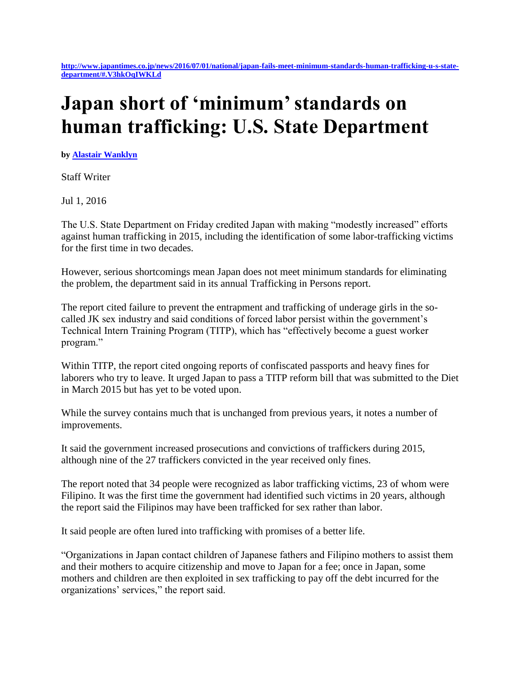**[http://www.japantimes.co.jp/news/2016/07/01/national/japan-fails-meet-minimum-standards-human-trafficking-u-s-state](http://www.japantimes.co.jp/news/2016/07/01/national/japan-fails-meet-minimum-standards-human-trafficking-u-s-state-department/#.V3hkOqIWKLd)[department/#.V3hkOqIWKLd](http://www.japantimes.co.jp/news/2016/07/01/national/japan-fails-meet-minimum-standards-human-trafficking-u-s-state-department/#.V3hkOqIWKLd)**

## **Japan short of 'minimum' standards on human trafficking: U.S. State Department**

**by [Alastair Wanklyn](http://www.japantimes.co.jp/author/alastair-wanklyn/)**

Staff Writer

Jul 1, 2016

The U.S. State Department on Friday credited Japan with making "modestly increased" efforts against human trafficking in 2015, including the identification of some labor-trafficking victims for the first time in two decades.

However, serious shortcomings mean Japan does not meet minimum standards for eliminating the problem, the department said in its annual Trafficking in Persons report.

The report cited failure to prevent the entrapment and trafficking of underage girls in the socalled JK sex industry and said conditions of forced labor persist within the government's Technical Intern Training Program (TITP), which has "effectively become a guest worker program."

Within TITP, the report cited ongoing reports of confiscated passports and heavy fines for laborers who try to leave. It urged Japan to pass a TITP reform bill that was submitted to the Diet in March 2015 but has yet to be voted upon.

While the survey contains much that is unchanged from previous years, it notes a number of improvements.

It said the government increased prosecutions and convictions of traffickers during 2015, although nine of the 27 traffickers convicted in the year received only fines.

The report noted that 34 people were recognized as labor trafficking victims, 23 of whom were Filipino. It was the first time the government had identified such victims in 20 years, although the report said the Filipinos may have been trafficked for sex rather than labor.

It said people are often lured into trafficking with promises of a better life.

"Organizations in Japan contact children of Japanese fathers and Filipino mothers to assist them and their mothers to acquire citizenship and move to Japan for a fee; once in Japan, some mothers and children are then exploited in sex trafficking to pay off the debt incurred for the organizations' services," the report said.